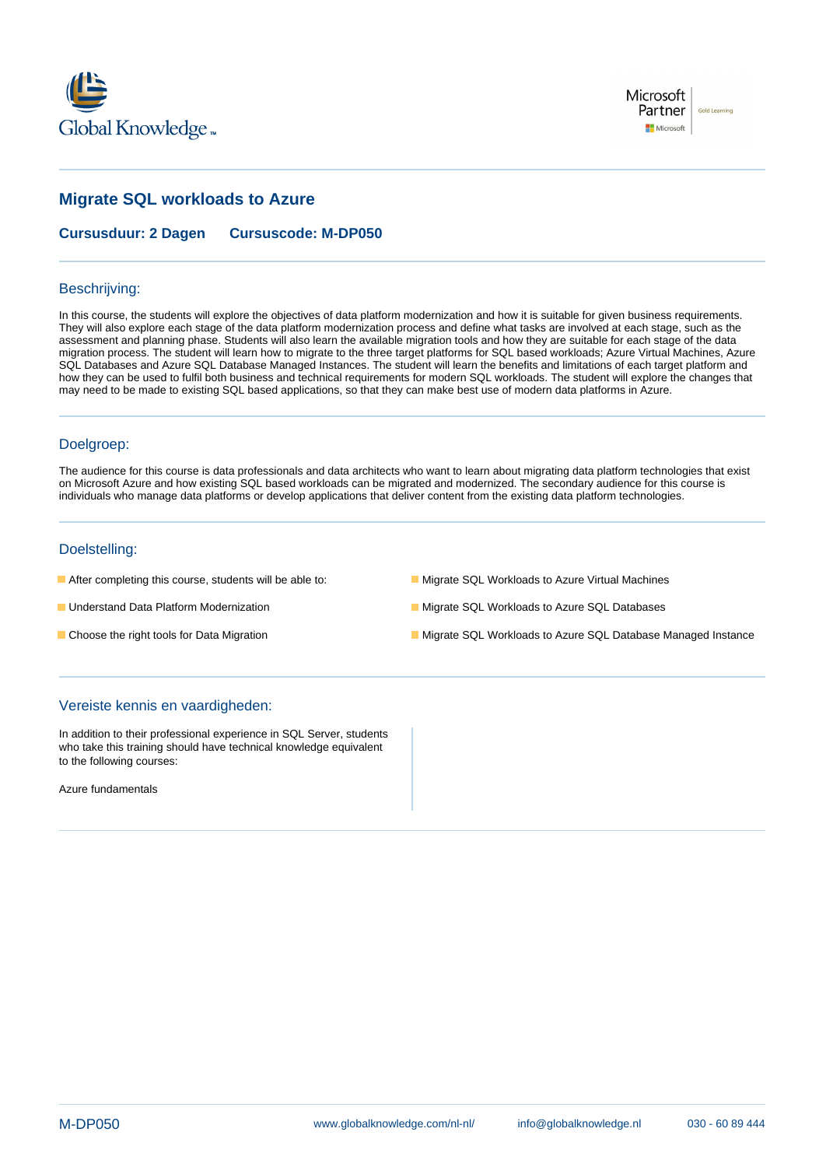



# **Migrate SQL workloads to Azure**

**Cursusduur: 2 Dagen Cursuscode: M-DP050**

### Beschrijving:

In this course, the students will explore the objectives of data platform modernization and how it is suitable for given business requirements. They will also explore each stage of the data platform modernization process and define what tasks are involved at each stage, such as the assessment and planning phase. Students will also learn the available migration tools and how they are suitable for each stage of the data migration process. The student will learn how to migrate to the three target platforms for SQL based workloads; Azure Virtual Machines, Azure SQL Databases and Azure SQL Database Managed Instances. The student will learn the benefits and limitations of each target platform and how they can be used to fulfil both business and technical requirements for modern SQL workloads. The student will explore the changes that may need to be made to existing SQL based applications, so that they can make best use of modern data platforms in Azure.

### Doelgroep:

The audience for this course is data professionals and data architects who want to learn about migrating data platform technologies that exist on Microsoft Azure and how existing SQL based workloads can be migrated and modernized. The secondary audience for this course is individuals who manage data platforms or develop applications that deliver content from the existing data platform technologies.

### Doelstelling:

- After completing this course, students will be able to: Migrate SQL Workloads to Azure Virtual Machines
	-

- 
- 
- Understand Data Platform Modernization Migrate SQL Morkloads to Azure SQL Databases
- Choose the right tools for Data Migration Migration Migrate SQL Workloads to Azure SQL Database Managed Instance

## Vereiste kennis en vaardigheden:

In addition to their professional experience in SQL Server, students who take this training should have technical knowledge equivalent to the following courses:

Azure fundamentals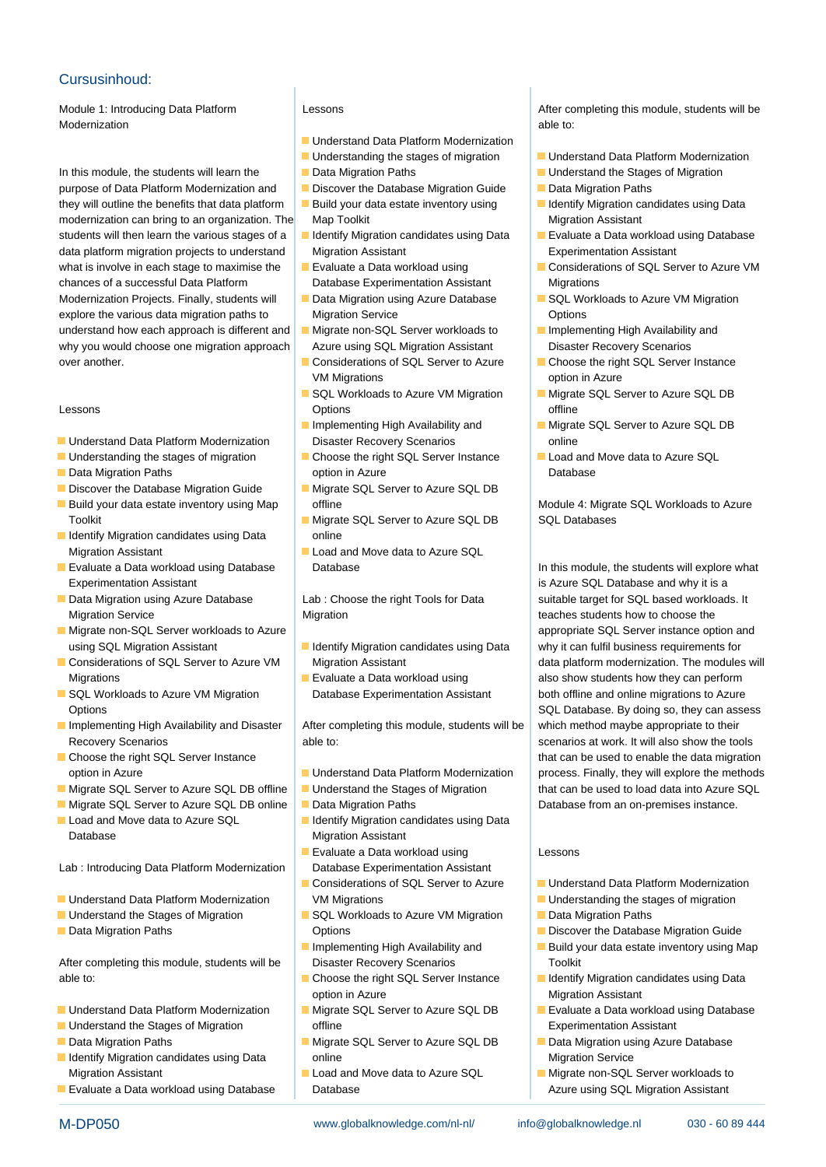## Cursusinhoud:

Modernization line able to: **All the able to: line able to: line able to: line able to: line able to: line able to: line able to: line able to: line able to: line able to: line able to: line able to:** 

In this module, the students will learn the Data Migration Paths Dunderstand the Stages of Migration purpose of Data Platform Modernization and **Discover the Database Migration Guide** Data Migration Paths they will outline the benefits that data platform **Build your data estate inventory using Interval I**ndentify Migration candidates using Data modernization can bring to an organization. The Map Toolkit Migration Assistant Migration Assistant students will then learn the various stages of a **ID** Identify Migration candidates using Data **Evaluate a Data workload using Database** data platform migration projects to understand Migration Assistant Experimentation Assistant Experimentation Assistant what is involve in each stage to maximise the Evaluate a Data workload using Considerations of SQL Server to Azure VM chances of a successful Data Platform Database Experimentation Assistant Migrations Modernization Projects. Finally, students will **Data Migration using Azure Database** SQL Workloads to Azure VM Migration explore the various data migration paths to Migration Service **Conserversity** Options understand how each approach is different and  $\blacksquare$  Migrate non-SQL Server workloads to  $\blacksquare$  Implementing High Availability and why you would choose one migration approach Azure using SQL Migration Assistant Disaster Recovery Scenarios over another. Considerations of SQL Server to Azure Choose the right SQL Server Instance

- **ID** Understand Data Platform Modernization Disaster Recovery Scenarios **Disaster Recovers** Conline
- 
- 
- 
- Toolkit Migrate SQL Server to Azure SQL DB SQL Databases
- I Identify Migration candidates using Data **produced** online Migration Assistant **Load and Move data to Azure SQL**
- **Evaluate a Data workload using Database** Database Database In this module, the students will explore what Experimentation Assistant is Azure SQL Database and why it is a
- Migration Service **Migration** Migration teaches students how to choose the
- **Migrate non-SQL Server workloads to Azure** line and the appropriate SQL Server instance option and appropriate SQL Server instance option and using SQL Migration Assistant **ID** Identify Migration candidates using Data why it can fulfil business requirements for
- Migrations **Evaluate a Data workload using also show students how they can perform**
- 
- Implementing High Availability and Disaster | After completing this module, students will be | which method maybe appropriate to their
- 
- Migrate SQL Server to Azure SQL DB offline Understand the Stages of Migration that can be used to load data into Azure SQL
- Migrate SQL Server to Azure SQL DB online **D** Data Migration Paths Database from an on-premises instance.
- Database Migration Assistant

Lab : Introducing Data Platform Modernization | Database Experimentation Assistant

- Understand Data Platform Modernization VM Migrations VM Migrations Understanding the stages of migration
- Understand the Stages of Migration **SQL Workloads to Azure VM Migration** Data Migration Paths
- 

After completing this module, students will be Disaster Recovery Scenarios Toolkit able to: Choose the right SQL Server Instance Indentify Migration candidates using Data

- 
- 
- 
- **IDENTIFY Migration candidates using Data online Migration Service** Migration Service Migration Assistant **Load and Move data to Azure SQL** Migrate non-SQL Server workloads to
- **Evaluate a Data workload using Database Azure using SQL Migration Assistant Database** Azure using SQL Migration Assistant

- $\blacksquare$  Understand Data Platform Modernization
- 
- 
- 
- 
- 
- 
- 
- **VM Migrations CONSUMING CONSUMING CONSUMING CONSUMING CONSUMING CONSUMING CONSUMING CONSUMING CONSUMING CONSUMING CONSUMING CONSUMING CONSUMING CONSUMING CONSUMING CONSUMING CONSUMING CONSUMING CONSUMING CONSUMING CONSU**
- Lessons Options offline
	-
- Understanding the stages of migration | Choose the right SQL Server Instance | Load and Move data to Azure SQL **Data Migration Paths Community Community** option in Azure **Community Community Community Community** Database
- Discover the Database Migration Guide | Migrate SQL Server to Azure SQL DB
	-
	-

- 
- 

Recovery Scenarios able to: scenarios able to: scenarios at work. It will also show the tools and scenarios at work. It will also show the tools

- 
- 
- 
- Load and Move data to Azure SQL Identify Migration candidates using Data
	- **Exaluate a Data workload using Lessons**
	-
- **Data Migration Paths Community Community** Options **Discover the Database Migration Guide** Discover the Database Migration Guide
	-
	- option in Azure **Migration Assistant** Migration Assistant
- **ID** Understand the Stages of Migration **offline** offline **Experimentation Assistant**
- Data Migration Paths Migrate SQL Server to Azure SQL DB Data Migration using Azure Database
	-

Module 1: Introducing Data Platform Lessons Lessons Lessons After completing this module, students will be under

- **Understanding the stages of migration Conduct Bunderstand Data Platform Modernization** 
	-
	-
	-
	-
	-
	-
	-
	-
- SQL Workloads to Azure VM Migration Migrate SQL Server to Azure SQL DB
	- Implementing High Availability and Migrate SQL Server to Azure SQL DB
		-

**Build your data estate inventory using Map** offline offline Module 4: Migrate SQL Workloads to Azure

Data Migration using Azure Database Lab: Choose the right Tools for Data suitable target for SQL based workloads. It Considerations of SQL Server to Azure VM Migration Assistant data platform modernization. The modules will SQL Workloads to Azure VM Migration Database Experimentation Assistant both offline and online migrations to Azure Options **SQL Database. By doing so, they can assess** SQL Database. By doing so, they can assess **Choose the right SQL Server Instance** line that can be used to enable the data migration **line that can be used to enable the data migration** option in Azure **Exercise 19 Numerization** Data Platform Modernization process. Finally, they will explore the methods

- **Considerations of SQL Server to Azure Understand Data Platform Modernization** 
	-
	-
	-
	- Implementing High Availability and **Build your data estate inventory using Map** 
		-
- Understand Data Platform Modernization Migrate SQL Server to Azure SQL DB Evaluate a Data workload using Database
	-
	-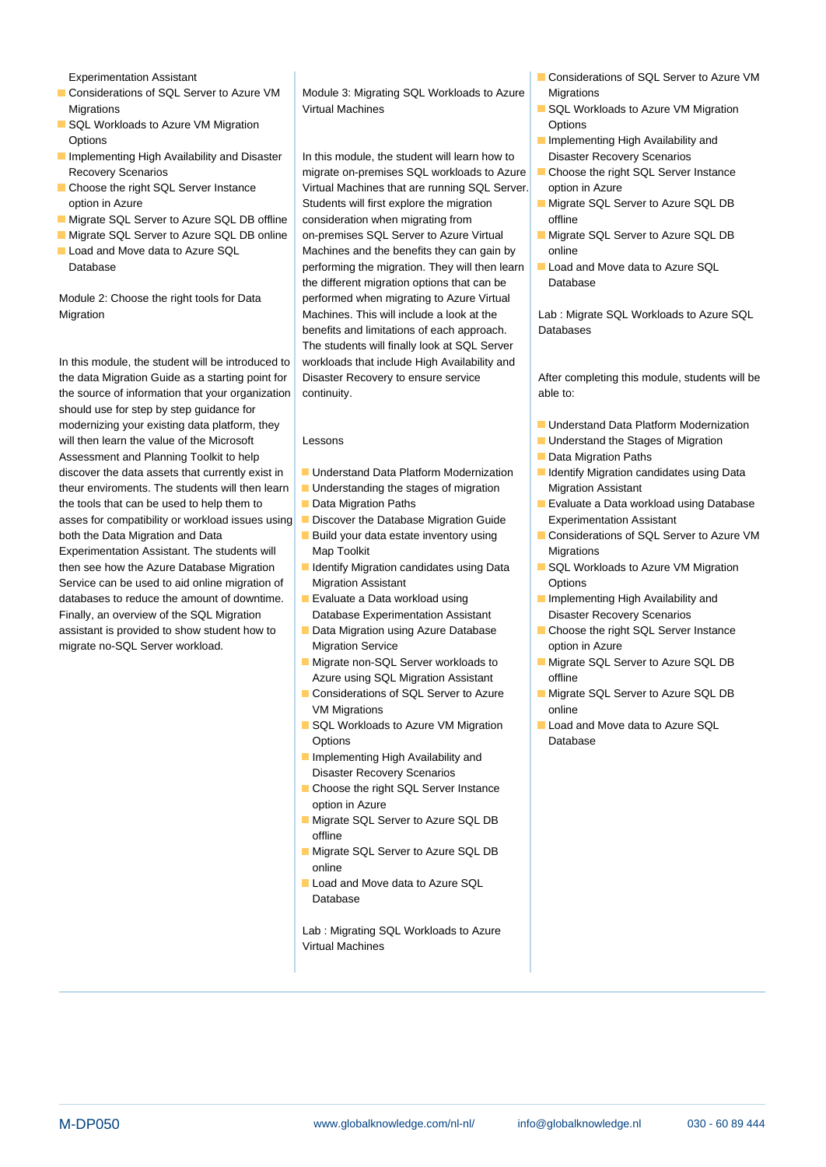- 
- **SQL Workloads to Azure VM Migration and Contract Contract Contract Contract Contract Contract Contract Contract Contract Contract Contract Contract Contract Contract Contract Contract Contract Contract Contract Contract** Options **Implementing High Availability and Contract Contract Availability and Contract Availability and Contract Availability and Contract Availability and Contract Availability and Contract Availability and Contract Avai**
- 
- 
- 
- 
- 

the data Migration Guide as a starting point for Disaster Recovery to ensure service After completing this module, students will be the source of information that your organization  $\vert$  continuity. should use for step by step quidance for modernizing your existing data platform, they Understand Data Platform Modernization will then learn the value of the Microsoft Lessons Lessons Understand the Stages of Migration Assessment and Planning Toolkit to help line Data Migration Paths and Data Migration Paths discover the data assets that currently exist in Understand Data Platform Modernization Indentify Migration candidates using Data theur enviroments. The students will then learn Understanding the stages of migration Migration Assistant the tools that can be used to help them to Data Migration Paths **Evaluate a Data workload using Database** asses for compatibility or workload issues using Discover the Database Migration Guide Experimentation Assistant both the Data Migration and Data **Build your data estate inventory using Considerations of SQL Server to Azure VM** Experimentation Assistant. The students will Map Toolkit Migrations Migrations then see how the Azure Database Migration **ID** Identify Migration candidates using Data **IDEN SQL Workloads to Azure VM Migration** Service can be used to aid online migration of Migration Assistant Continues Coptions databases to reduce the amount of downtime. Evaluate a Data workload using **IMPLE 1966** Implementing High Availability and Finally, an overview of the SQL Migration Database Experimentation Assistant Disaster Recovery Scenarios assistant is provided to show student how to **D** Data Migration using Azure Database **Choose** the right SQL Server Instance migrate no-SQL Server workload. Migration Service option in Azure

Considerations of SQL Server to Azure VM  $\parallel$  Module 3: Migrating SQL Workloads to Azure Migrations Migrations **Migrations** SQL Workloads to Azure VM Migration SQL Workloads to Azure VM Migration

Implementing High Availability and Disaster  $\vert$  In this module, the student will learn how to Disaster Recovery Scenarios Recovery Scenarios example and migrate on-premises SQL workloads to Azure **Choose** the right SQL Server Instance **Choose the right SQL Server Instance** Virtual Machines that are running SQL Server. option in Azure option in Azure SQL Students will first explore the migration Migrate SQL Server to Azure SQL DB **Migrate SQL Server to Azure SQL DB offline** consideration when migrating from **offline** Migrate SQL Server to Azure SQL DB online on-premises SQL Server to Azure Virtual Migrate SQL Server to Azure SQL DB Load and Move data to Azure SQL Machines and the benefits they can gain by online Database **Example 2** performing the migration. They will then learn Load and Move data to Azure SQL the different migration options that can be Database Module 2: Choose the right tools for Data performed when migrating to Azure Virtual Migration Migration Machines. This will include a look at the Lab : Migrate SQL Workloads to Azure SQL benefits and limitations of each approach. Databases The students will finally look at SQL Server In this module, the student will be introduced to workloads that include High Availability and

- 
- 
- 
- 
- 
- 
- 
- 
- Migrate non-SQL Server workloads to Migrate SQL Server to Azure SQL DB Azure using SQL Migration Assistant **Azure using SQL** Migration Assistant
- VM Migrations **online**
- SQL Workloads to Azure VM Migration **Law Load and Move data to Azure SQL** Options Database
- **I** Implementing High Availability and Disaster Recovery Scenarios
- Choose the right SQL Server Instance option in Azure
- **Migrate SQL Server to Azure SQL DB** offline
- **Migrate SQL Server to Azure SQL DB** online
- Load and Move data to Azure SQL Database

Lab : Migrating SQL Workloads to Azure Virtual Machines

- Experimentation Assistant The Considerations of SQL Server to Azure VM
	-
	-
	-
	-
	-
	-

- 
- 
- 
- 
- 
- 
- 
- 
- 
- 
- Considerations of SQL Server to Azure Migrate SQL Server to Azure SQL DB
	-